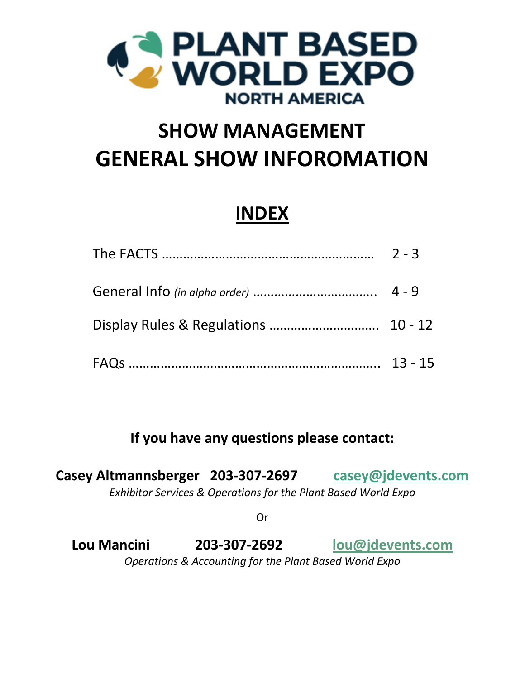

# **SHOW MANAGEMENT GENERAL SHOW INFOROMATION**

# **INDEX**

**If you have any questions please contact:**

**Casey Altmannsberger 203‐307‐2697 casey@jdevents.com** *Exhibitor Services & Operations for the Plant Based World Expo*

Or

**Lou Mancini 203‐307‐2692 lou@jdevents.com** *Operations & Accounting for the Plant Based World Expo*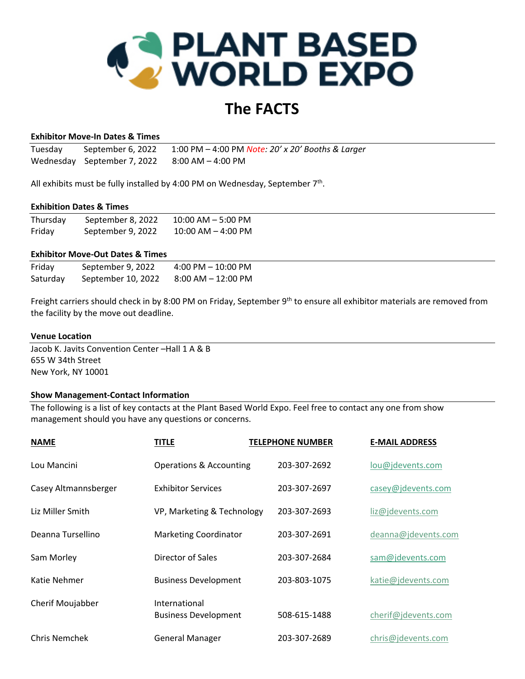

# **The FACTS**

#### **Exhibitor Move‐In Dates & Times**

Tuesday September 6, 2022 1:00 PM – 4:00 PM *Note: 20' x 20' Booths & Larger* Wednesday September 7, 2022 8:00 AM – 4:00 PM

All exhibits must be fully installed by 4:00 PM on Wednesday, September 7<sup>th</sup>.

#### **Exhibition Dates & Times**

| Thursday | September 8, 2022 | $10:00$ AM $-$ 5:00 PM |  |
|----------|-------------------|------------------------|--|
| Friday   | September 9, 2022 | $10:00$ AM $-$ 4:00 PM |  |

#### **Exhibitor Move‐Out Dates & Times**

| Friday   | September 9, 2022  | $4:00$ PM $-10:00$ PM  |
|----------|--------------------|------------------------|
| Saturday | September 10, 2022 | $8:00$ AM $- 12:00$ PM |

Freight carriers should check in by 8:00 PM on Friday, September 9<sup>th</sup> to ensure all exhibitor materials are removed from the facility by the move out deadline.

#### **Venue Location**

Jacob K. Javits Convention Center –Hall 1 A & B 655 W 34th Street New York, NY 10001

#### **Show Management‐Contact Information**

The following is a list of key contacts at the Plant Based World Expo. Feel free to contact any one from show management should you have any questions or concerns.

| <b>NAME</b>          | TITLE                                        | <b>TELEPHONE NUMBER</b> | <b>E-MAIL ADDRESS</b> |
|----------------------|----------------------------------------------|-------------------------|-----------------------|
| Lou Mancini          | <b>Operations &amp; Accounting</b>           | 203-307-2692            | lou@jdevents.com      |
| Casey Altmannsberger | <b>Exhibitor Services</b>                    | 203-307-2697            | casey@jdevents.com    |
| Liz Miller Smith     | VP, Marketing & Technology                   | 203-307-2693            | liz@jdevents.com      |
| Deanna Tursellino    | <b>Marketing Coordinator</b>                 | 203-307-2691            | deanna@jdevents.com   |
| Sam Morley           | Director of Sales                            | 203-307-2684            | sam@jdevents.com      |
| Katie Nehmer         | <b>Business Development</b>                  | 203-803-1075            | katie@jdevents.com    |
| Cherif Moujabber     | International<br><b>Business Development</b> | 508-615-1488            | cherif@jdevents.com   |
| <b>Chris Nemchek</b> | <b>General Manager</b>                       | 203-307-2689            | chris@jdevents.com    |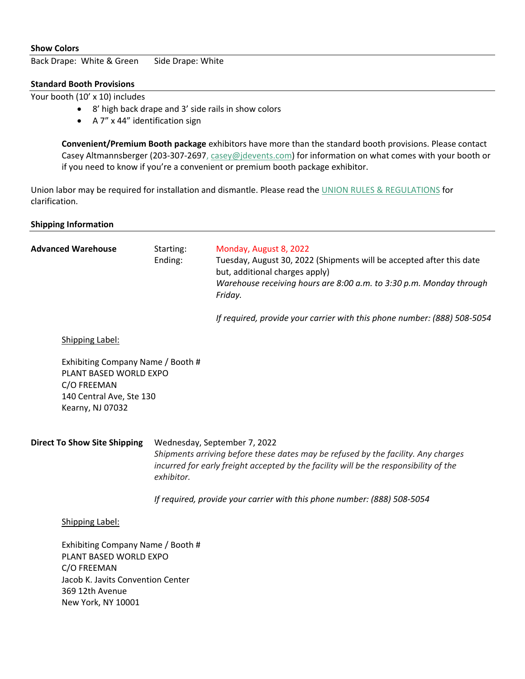# **Show Colors**

Back Drape: White & Green Side Drape: White

# **Standard Booth Provisions**

Your booth (10' x 10) includes

- 8' high back drape and 3' side rails in show colors
- A 7" x 44" identification sign

**Convenient/Premium Booth package** exhibitors have more than the standard booth provisions. Please contact Casey Altmannsberger (203-307-2697, casey@jdevents.com) for information on what comes with your booth or if you need to know if you're a convenient or premium booth package exhibitor.

Union labor may be required for installation and dismantle. Please read the UNION RULES & REGULATIONS for clarification.

| <b>Shipping Information</b>                                                                                                                              |                                                                                                                                                                                                                          |                                                                                                                                                                                                                    |  |  |
|----------------------------------------------------------------------------------------------------------------------------------------------------------|--------------------------------------------------------------------------------------------------------------------------------------------------------------------------------------------------------------------------|--------------------------------------------------------------------------------------------------------------------------------------------------------------------------------------------------------------------|--|--|
| <b>Advanced Warehouse</b>                                                                                                                                | Starting:<br>Ending:                                                                                                                                                                                                     | Monday, August 8, 2022<br>Tuesday, August 30, 2022 (Shipments will be accepted after this date<br>but, additional charges apply)<br>Warehouse receiving hours are 8:00 a.m. to 3:30 p.m. Monday through<br>Friday. |  |  |
|                                                                                                                                                          |                                                                                                                                                                                                                          | If required, provide your carrier with this phone number: (888) 508-5054                                                                                                                                           |  |  |
| Shipping Label:                                                                                                                                          |                                                                                                                                                                                                                          |                                                                                                                                                                                                                    |  |  |
| Exhibiting Company Name / Booth #<br>PLANT BASED WORLD EXPO<br>C/O FREEMAN<br>140 Central Ave, Ste 130<br>Kearny, NJ 07032                               |                                                                                                                                                                                                                          |                                                                                                                                                                                                                    |  |  |
| <b>Direct To Show Site Shipping</b>                                                                                                                      | Wednesday, September 7, 2022<br>Shipments arriving before these dates may be refused by the facility. Any charges<br>incurred for early freight accepted by the facility will be the responsibility of the<br>exhibitor. |                                                                                                                                                                                                                    |  |  |
|                                                                                                                                                          |                                                                                                                                                                                                                          | If required, provide your carrier with this phone number: (888) 508-5054                                                                                                                                           |  |  |
| Shipping Label:                                                                                                                                          |                                                                                                                                                                                                                          |                                                                                                                                                                                                                    |  |  |
| Exhibiting Company Name / Booth #<br>PLANT BASED WORLD EXPO<br>C/O FREEMAN<br>Jacob K. Javits Convention Center<br>369 12th Avenue<br>New York, NY 10001 |                                                                                                                                                                                                                          |                                                                                                                                                                                                                    |  |  |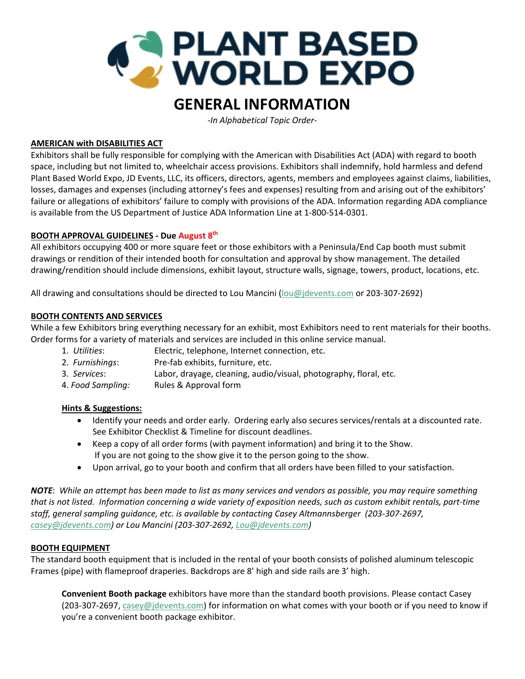

# **GENERAL INFORMATION**

*‐In Alphabetical Topic Order‐* 

# **AMERICAN with DISABILITIES ACT**

Exhibitors shall be fully responsible for complying with the American with Disabilities Act (ADA) with regard to booth space, including but not limited to, wheelchair access provisions. Exhibitors shall indemnify, hold harmless and defend Plant Based World Expo, JD Events, LLC, its officers, directors, agents, members and employees against claims, liabilities, losses, damages and expenses (including attorney's fees and expenses) resulting from and arising out of the exhibitors' failure or allegations of exhibitors' failure to comply with provisions of the ADA. Information regarding ADA compliance is available from the US Department of Justice ADA Information Line at 1‐800‐514‐0301.

# **BOOTH APPROVAL GUIDELINES ‐ Due August 8th**

All exhibitors occupying 400 or more square feet or those exhibitors with a Peninsula/End Cap booth must submit drawings or rendition of their intended booth for consultation and approval by show management. The detailed drawing/rendition should include dimensions, exhibit layout, structure walls, signage, towers, product, locations, etc.

All drawing and consultations should be directed to Lou Mancini (lou@jdevents.com or 203‐307‐2692)

# **BOOTH CONTENTS AND SERVICES**

While a few Exhibitors bring everything necessary for an exhibit, most Exhibitors need to rent materials for their booths. Order forms for a variety of materials and services are included in this online service manual.

- 1. *Utilities*: Electric, telephone, Internet connection, etc.
- 2. *Furnishings*: Pre‐fab exhibits, furniture, etc.
- 3. *Services*: Labor, drayage, cleaning, audio/visual, photography, floral, etc.
- 4. *Food Sampling:* Rules & Approval form

# **Hints & Suggestions:**

- Identify your needs and order early. Ordering early also secures services/rentals at a discounted rate. See Exhibitor Checklist & Timeline for discount deadlines.
- Keep a copy of all order forms (with payment information) and bring it to the Show. If you are not going to the show give it to the person going to the show.
- Upon arrival, go to your booth and confirm that all orders have been filled to your satisfaction.

NOTE: While an attempt has been made to list as many services and vendors as possible, you may require something that is not listed. Information concerning a wide variety of exposition needs, such as custom exhibit rentals, part-time *staff, general sampling guidance, etc. is available by contacting Casey Altmannsberger (203‐307‐2697, casey@jdevents.com) or Lou Mancini (203‐307‐2692, Lou@jdevents.com)* 

# **BOOTH EQUIPMENT**

The standard booth equipment that is included in the rental of your booth consists of polished aluminum telescopic Frames (pipe) with flameproof draperies. Backdrops are 8' high and side rails are 3' high.

**Convenient Booth package** exhibitors have more than the standard booth provisions. Please contact Casey (203-307-2697, casey@jdevents.com) for information on what comes with your booth or if you need to know if you're a convenient booth package exhibitor.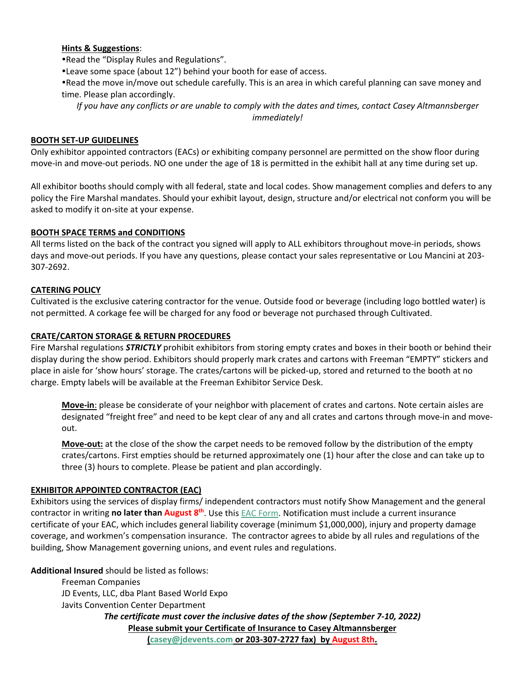### **Hints & Suggestions**:

Read the "Display Rules and Regulations".

Leave some space (about 12") behind your booth for ease of access.

Read the move in/move out schedule carefully. This is an area in which careful planning can save money and time. Please plan accordingly.

If you have any conflicts or are unable to comply with the dates and times, contact Casey Altmannsberger *immediately!*

#### **BOOTH SET‐UP GUIDELINES**

Only exhibitor appointed contractors (EACs) or exhibiting company personnel are permitted on the show floor during move-in and move-out periods. NO one under the age of 18 is permitted in the exhibit hall at any time during set up.

All exhibitor booths should comply with all federal, state and local codes. Show management complies and defers to any policy the Fire Marshal mandates. Should your exhibit layout, design, structure and/or electrical not conform you will be asked to modify it on‐site at your expense.

#### **BOOTH SPACE TERMS and CONDITIONS**

All terms listed on the back of the contract you signed will apply to ALL exhibitors throughout move‐in periods, shows days and move‐out periods. If you have any questions, please contact your sales representative or Lou Mancini at 203‐ 307‐2692.

# **CATERING POLICY**

Cultivated is the exclusive catering contractor for the venue. Outside food or beverage (including logo bottled water) is not permitted. A corkage fee will be charged for any food or beverage not purchased through Cultivated.

### **CRATE/CARTON STORAGE & RETURN PROCEDURES**

Fire Marshal regulations *STRICTLY* prohibit exhibitors from storing empty crates and boxes in their booth or behind their display during the show period. Exhibitors should properly mark crates and cartons with Freeman "EMPTY" stickers and place in aisle for 'show hours' storage. The crates/cartons will be picked‐up, stored and returned to the booth at no charge. Empty labels will be available at the Freeman Exhibitor Service Desk.

**Move‐in**: please be considerate of your neighbor with placement of crates and cartons. Note certain aisles are designated "freight free" and need to be kept clear of any and all crates and cartons through move‐in and move‐ out.

**Move-out:** at the close of the show the carpet needs to be removed follow by the distribution of the empty crates/cartons. First empties should be returned approximately one (1) hour after the close and can take up to three (3) hours to complete. Please be patient and plan accordingly.

# **EXHIBITOR APPOINTED CONTRACTOR (EAC)**

Exhibitors using the services of display firms/ independent contractors must notify Show Management and the general contractor in writing **no later than August 8th**. Use this EAC Form. Notification must include a current insurance certificate of your EAC, which includes general liability coverage (minimum \$1,000,000), injury and property damage coverage, and workmen's compensation insurance. The contractor agrees to abide by all rules and regulations of the building, Show Management governing unions, and event rules and regulations.

**Additional Insured** should be listed as follows:

Freeman Companies JD Events, LLC, dba Plant Based World Expo Javits Convention Center Department *The certificate must cover the inclusive dates of the show (September 7‐10, 2022)* **Please submit your Certificate of Insurance to Casey Altmannsberger (casey@jdevents.com or 203‐307‐2727 fax) by August 8th.**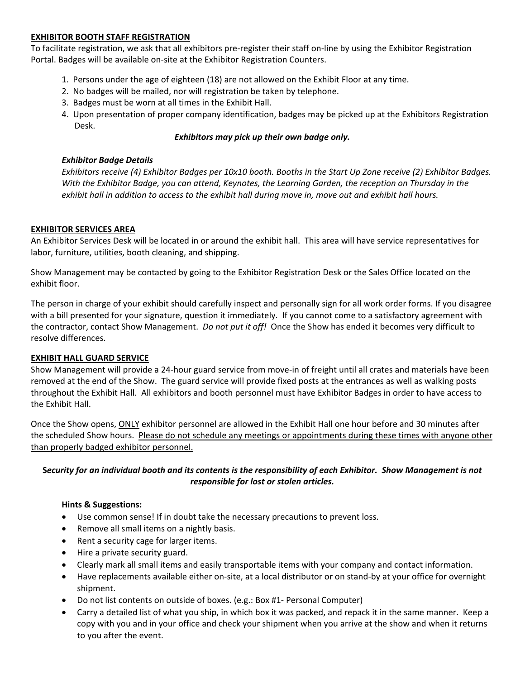# **EXHIBITOR BOOTH STAFF REGISTRATION**

To facilitate registration, we ask that all exhibitors pre‐register their staff on‐line by using the Exhibitor Registration Portal. Badges will be available on‐site at the Exhibitor Registration Counters.

- 1. Persons under the age of eighteen (18) are not allowed on the Exhibit Floor at any time.
- 2. No badges will be mailed, nor will registration be taken by telephone.
- 3. Badges must be worn at all times in the Exhibit Hall.
- 4. Upon presentation of proper company identification, badges may be picked up at the Exhibitors Registration Desk.

# *Exhibitors may pick up their own badge only.*

# *Exhibitor Badge Details*

Exhibitors receive (4) Exhibitor Badges per 10x10 booth. Booths in the Start Up Zone receive (2) Exhibitor Badges. *With the Exhibitor Badge, you can attend, Keynotes, the Learning Garden, the reception on Thursday in the* exhibit hall in addition to access to the exhibit hall during move in, move out and exhibit hall hours.

# **EXHIBITOR SERVICES AREA**

An Exhibitor Services Desk will be located in or around the exhibit hall. This area will have service representatives for labor, furniture, utilities, booth cleaning, and shipping.

Show Management may be contacted by going to the Exhibitor Registration Desk or the Sales Office located on the exhibit floor.

The person in charge of your exhibit should carefully inspect and personally sign for all work order forms. If you disagree with a bill presented for your signature, question it immediately. If you cannot come to a satisfactory agreement with the contractor, contact Show Management. *Do not put it off!* Once the Show has ended it becomes very difficult to resolve differences.

# **EXHIBIT HALL GUARD SERVICE**

Show Management will provide a 24-hour guard service from move-in of freight until all crates and materials have been removed at the end of the Show. The guard service will provide fixed posts at the entrances as well as walking posts throughout the Exhibit Hall. All exhibitors and booth personnel must have Exhibitor Badges in order to have access to the Exhibit Hall.

Once the Show opens, ONLY exhibitor personnel are allowed in the Exhibit Hall one hour before and 30 minutes after the scheduled Show hours. Please do not schedule any meetings or appointments during these times with anyone other than properly badged exhibitor personnel.

# Security for an individual booth and its contents is the responsibility of each Exhibitor. Show Management is not *responsible for lost or stolen articles.*

# **Hints & Suggestions:**

- Use common sense! If in doubt take the necessary precautions to prevent loss.
- Remove all small items on a nightly basis.
- Rent a security cage for larger items.
- Hire a private security guard.
- Clearly mark all small items and easily transportable items with your company and contact information.
- Have replacements available either on-site, at a local distributor or on stand-by at your office for overnight shipment.
- Do not list contents on outside of boxes. (e.g.: Box #1- Personal Computer)
- Carry a detailed list of what you ship, in which box it was packed, and repack it in the same manner. Keep a copy with you and in your office and check your shipment when you arrive at the show and when it returns to you after the event.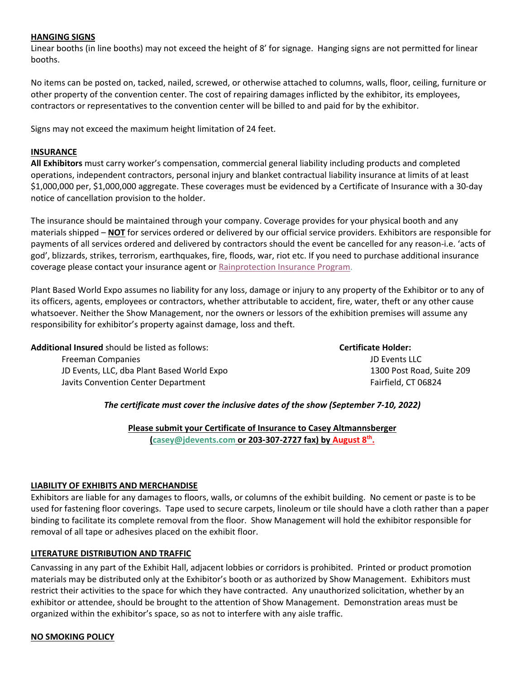### **HANGING SIGNS**

Linear booths (in line booths) may not exceed the height of 8' for signage. Hanging signs are not permitted for linear booths.

No items can be posted on, tacked, nailed, screwed, or otherwise attached to columns, walls, floor, ceiling, furniture or other property of the convention center. The cost of repairing damages inflicted by the exhibitor, its employees, contractors or representatives to the convention center will be billed to and paid for by the exhibitor.

Signs may not exceed the maximum height limitation of 24 feet.

#### **INSURANCE**

**All Exhibitors** must carry worker's compensation, commercial general liability including products and completed operations, independent contractors, personal injury and blanket contractual liability insurance at limits of at least \$1,000,000 per, \$1,000,000 aggregate. These coverages must be evidenced by a Certificate of Insurance with a 30‐day notice of cancellation provision to the holder.

The insurance should be maintained through your company. Coverage provides for your physical booth and any materials shipped – **NOT** for services ordered or delivered by our official service providers. Exhibitors are responsible for payments of all services ordered and delivered by contractors should the event be cancelled for any reason‐i.e. 'acts of god', blizzards, strikes, terrorism, earthquakes, fire, floods, war, riot etc. If you need to purchase additional insurance coverage please contact your insurance agent or Rainprotection Insurance Program.

Plant Based World Expo assumes no liability for any loss, damage or injury to any property of the Exhibitor or to any of its officers, agents, employees or contractors, whether attributable to accident, fire, water, theft or any other cause whatsoever. Neither the Show Management, nor the owners or lessors of the exhibition premises will assume any responsibility for exhibitor's property against damage, loss and theft.

**Additional Insured** should be listed as follows: **Certificate Holder:** Freeman Companies JD Events LLC JD Events, LLC, dba Plant Based World Expo 1300 Post Road, Suite 209 Javits Convention Center Department **Solution** Convention Center Department **Example 20 and 20 and 20 and 20 and 20 and 20 and 20 and 20 and 20 and 20 and 20 and 20 and 20 and 20 and 20 and 20 and 20 and 20 and 20 and 20** 

# *The certificate must cover the inclusive dates of the show (September 7‐10, 2022)*

**Please submit your Certificate of Insurance to Casey Altmannsberger (casey@jdevents.com or 203‐307‐2727 fax) by August 8th.**

# **LIABILITY OF EXHIBITS AND MERCHANDISE**

Exhibitors are liable for any damages to floors, walls, or columns of the exhibit building. No cement or paste is to be used for fastening floor coverings. Tape used to secure carpets, linoleum or tile should have a cloth rather than a paper binding to facilitate its complete removal from the floor. Show Management will hold the exhibitor responsible for removal of all tape or adhesives placed on the exhibit floor.

#### **LITERATURE DISTRIBUTION AND TRAFFIC**

Canvassing in any part of the Exhibit Hall, adjacent lobbies or corridors is prohibited. Printed or product promotion materials may be distributed only at the Exhibitor's booth or as authorized by Show Management. Exhibitors must restrict their activities to the space for which they have contracted. Any unauthorized solicitation, whether by an exhibitor or attendee, should be brought to the attention of Show Management. Demonstration areas must be organized within the exhibitor's space, so as not to interfere with any aisle traffic.

#### **NO SMOKING POLICY**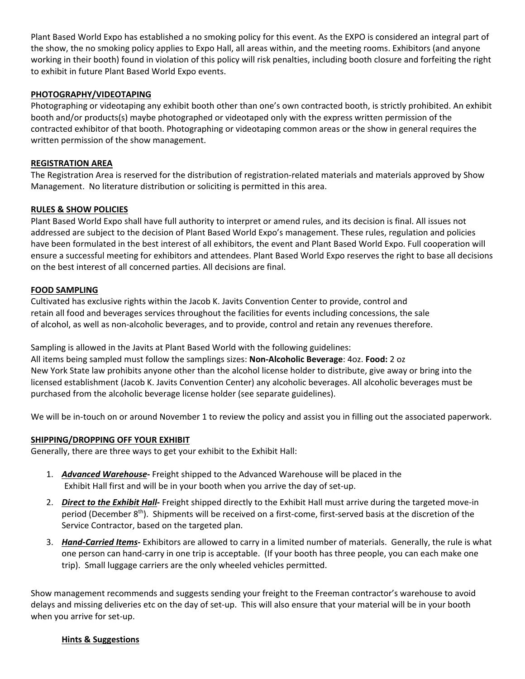Plant Based World Expo has established a no smoking policy for this event. As the EXPO is considered an integral part of the show, the no smoking policy applies to Expo Hall, all areas within, and the meeting rooms. Exhibitors (and anyone working in their booth) found in violation of this policy will risk penalties, including booth closure and forfeiting the right to exhibit in future Plant Based World Expo events.

# **PHOTOGRAPHY/VIDEOTAPING**

Photographing or videotaping any exhibit booth other than one's own contracted booth, is strictly prohibited. An exhibit booth and/or products(s) maybe photographed or videotaped only with the express written permission of the contracted exhibitor of that booth. Photographing or videotaping common areas or the show in general requires the written permission of the show management.

# **REGISTRATION AREA**

The Registration Area is reserved for the distribution of registration-related materials and materials approved by Show Management. No literature distribution or soliciting is permitted in this area.

# **RULES & SHOW POLICIES**

Plant Based World Expo shall have full authority to interpret or amend rules, and its decision is final. All issues not addressed are subject to the decision of Plant Based World Expo's management. These rules, regulation and policies have been formulated in the best interest of all exhibitors, the event and Plant Based World Expo. Full cooperation will ensure a successful meeting for exhibitors and attendees. Plant Based World Expo reserves the right to base all decisions on the best interest of all concerned parties. All decisions are final.

# **FOOD SAMPLING**

Cultivated has exclusive rights within the Jacob K. Javits Convention Center to provide, control and retain all food and beverages services throughout the facilities for events including concessions, the sale of alcohol, as well as non‐alcoholic beverages, and to provide, control and retain any revenues therefore.

Sampling is allowed in the Javits at Plant Based World with the following guidelines: All items being sampled must follow the samplings sizes: **Non‐Alcoholic Beverage**: 4oz. **Food:** 2 oz New York State law prohibits anyone other than the alcohol license holder to distribute, give away or bring into the licensed establishment (Jacob K. Javits Convention Center) any alcoholic beverages. All alcoholic beverages must be purchased from the alcoholic beverage license holder (see separate guidelines).

We will be in-touch on or around November 1 to review the policy and assist you in filling out the associated paperwork.

# **SHIPPING/DROPPING OFF YOUR EXHIBIT**

Generally, there are three ways to get your exhibit to the Exhibit Hall:

- 1. *Advanced Warehouse***‐** Freight shipped to the Advanced Warehouse will be placed in the Exhibit Hall first and will be in your booth when you arrive the day of set‐up.
- 2. *Direct to the Exhibit Hall***‐** Freight shipped directly to the Exhibit Hall must arrive during the targeted move‐in period (December 8<sup>th</sup>). Shipments will be received on a first-come, first-served basis at the discretion of the Service Contractor, based on the targeted plan.
- 3. *Hand‐Carried Items***‐** Exhibitors are allowed to carry in a limited number of materials. Generally, the rule is what one person can hand‐carry in one trip is acceptable. (If your booth has three people, you can each make one trip). Small luggage carriers are the only wheeled vehicles permitted.

Show management recommends and suggests sending your freight to the Freeman contractor's warehouse to avoid delays and missing deliveries etc on the day of set‐up. This will also ensure that your material will be in your booth when you arrive for set-up.

# **Hints & Suggestions**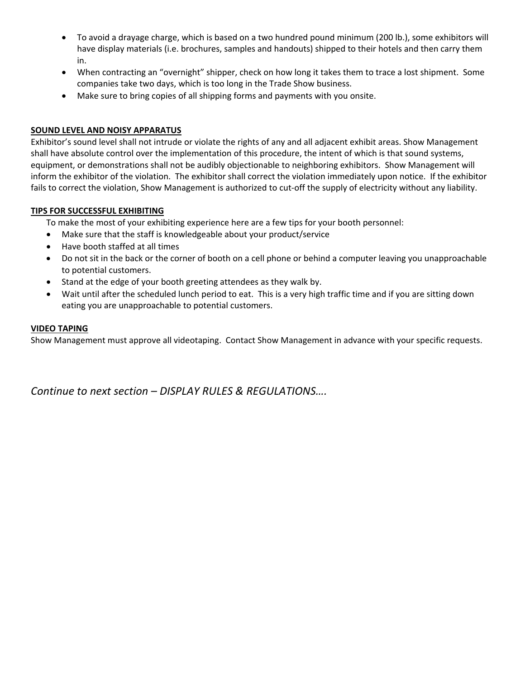- To avoid a drayage charge, which is based on a two hundred pound minimum (200 lb.), some exhibitors will have display materials (i.e. brochures, samples and handouts) shipped to their hotels and then carry them in.
- When contracting an "overnight" shipper, check on how long it takes them to trace a lost shipment. Some companies take two days, which is too long in the Trade Show business.
- Make sure to bring copies of all shipping forms and payments with you onsite.

# **SOUND LEVEL AND NOISY APPARATUS**

Exhibitor's sound level shall not intrude or violate the rights of any and all adjacent exhibit areas. Show Management shall have absolute control over the implementation of this procedure, the intent of which is that sound systems, equipment, or demonstrations shall not be audibly objectionable to neighboring exhibitors. Show Management will inform the exhibitor of the violation. The exhibitor shall correct the violation immediately upon notice. If the exhibitor fails to correct the violation, Show Management is authorized to cut-off the supply of electricity without any liability.

# **TIPS FOR SUCCESSFUL EXHIBITING**

To make the most of your exhibiting experience here are a few tips for your booth personnel:

- Make sure that the staff is knowledgeable about your product/service
- Have booth staffed at all times
- Do not sit in the back or the corner of booth on a cell phone or behind a computer leaving you unapproachable to potential customers.
- Stand at the edge of your booth greeting attendees as they walk by.
- Wait until after the scheduled lunch period to eat. This is a very high traffic time and if you are sitting down eating you are unapproachable to potential customers.

# **VIDEO TAPING**

Show Management must approve all videotaping. Contact Show Management in advance with your specific requests.

*Continue to next section – DISPLAY RULES & REGULATIONS….*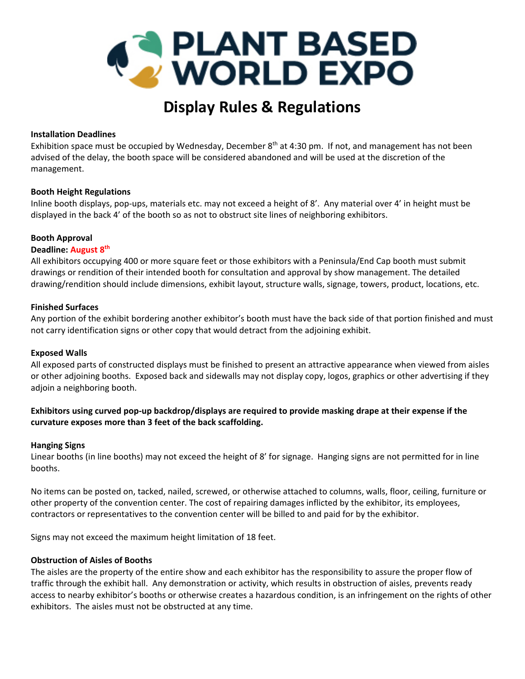

# **Display Rules & Regulations**

### **Installation Deadlines**

Exhibition space must be occupied by Wednesday, December  $8<sup>th</sup>$  at 4:30 pm. If not, and management has not been advised of the delay, the booth space will be considered abandoned and will be used at the discretion of the management.

#### **Booth Height Regulations**

Inline booth displays, pop‐ups, materials etc. may not exceed a height of 8'. Any material over 4' in height must be displayed in the back 4' of the booth so as not to obstruct site lines of neighboring exhibitors.

#### **Booth Approval**

#### **Deadline: August 8th**

All exhibitors occupying 400 or more square feet or those exhibitors with a Peninsula/End Cap booth must submit drawings or rendition of their intended booth for consultation and approval by show management. The detailed drawing/rendition should include dimensions, exhibit layout, structure walls, signage, towers, product, locations, etc.

#### **Finished Surfaces**

Any portion of the exhibit bordering another exhibitor's booth must have the back side of that portion finished and must not carry identification signs or other copy that would detract from the adjoining exhibit.

# **Exposed Walls**

All exposed parts of constructed displays must be finished to present an attractive appearance when viewed from aisles or other adjoining booths. Exposed back and sidewalls may not display copy, logos, graphics or other advertising if they adjoin a neighboring booth.

# Exhibitors using curved pop-up backdrop/displays are required to provide masking drape at their expense if the **curvature exposes more than 3 feet of the back scaffolding.**

#### **Hanging Signs**

Linear booths (in line booths) may not exceed the height of 8' for signage. Hanging signs are not permitted for in line booths.

No items can be posted on, tacked, nailed, screwed, or otherwise attached to columns, walls, floor, ceiling, furniture or other property of the convention center. The cost of repairing damages inflicted by the exhibitor, its employees, contractors or representatives to the convention center will be billed to and paid for by the exhibitor.

Signs may not exceed the maximum height limitation of 18 feet.

#### **Obstruction of Aisles of Booths**

The aisles are the property of the entire show and each exhibitor has the responsibility to assure the proper flow of traffic through the exhibit hall. Any demonstration or activity, which results in obstruction of aisles, prevents ready access to nearby exhibitor's booths or otherwise creates a hazardous condition, is an infringement on the rights of other exhibitors. The aisles must not be obstructed at any time.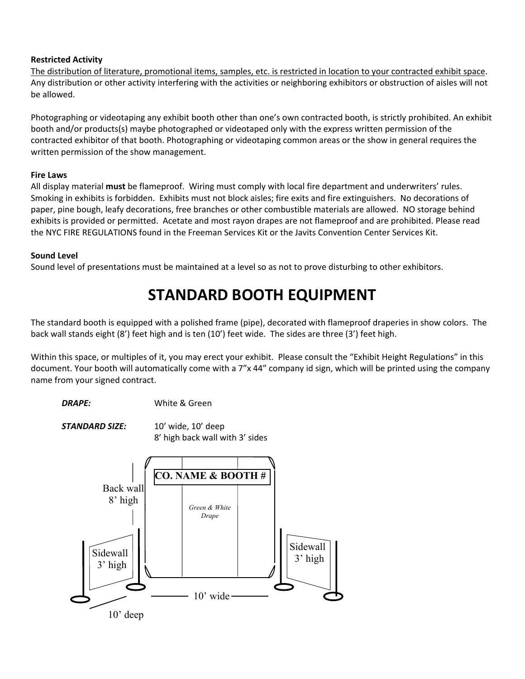# **Restricted Activity**

The distribution of literature, promotional items, samples, etc. is restricted in location to your contracted exhibit space. Any distribution or other activity interfering with the activities or neighboring exhibitors or obstruction of aisles will not be allowed.

Photographing or videotaping any exhibit booth other than one's own contracted booth, is strictly prohibited. An exhibit booth and/or products(s) maybe photographed or videotaped only with the express written permission of the contracted exhibitor of that booth. Photographing or videotaping common areas or the show in general requires the written permission of the show management.

# **Fire Laws**

All display material **must** be flameproof. Wiring must comply with local fire department and underwriters' rules. Smoking in exhibits is forbidden. Exhibits must not block aisles; fire exits and fire extinguishers. No decorations of paper, pine bough, leafy decorations, free branches or other combustible materials are allowed. NO storage behind exhibits is provided or permitted. Acetate and most rayon drapes are not flameproof and are prohibited. Please read the NYC FIRE REGULATIONS found in the Freeman Services Kit or the Javits Convention Center Services Kit.

# **Sound Level**

Sound level of presentations must be maintained at a level so as not to prove disturbing to other exhibitors.

# **STANDARD BOOTH EQUIPMENT**

The standard booth is equipped with a polished frame (pipe), decorated with flameproof draperies in show colors. The back wall stands eight (8') feet high and is ten (10') feet wide. The sides are three (3') feet high.

Within this space, or multiples of it, you may erect your exhibit. Please consult the "Exhibit Height Regulations" in this document. Your booth will automatically come with a 7"x 44" company id sign, which will be printed using the company name from your signed contract.

*DRAPE:* White & Green

*STANDARD SIZE:* 10' wide, 10' deep 8' high back wall with 3' sides

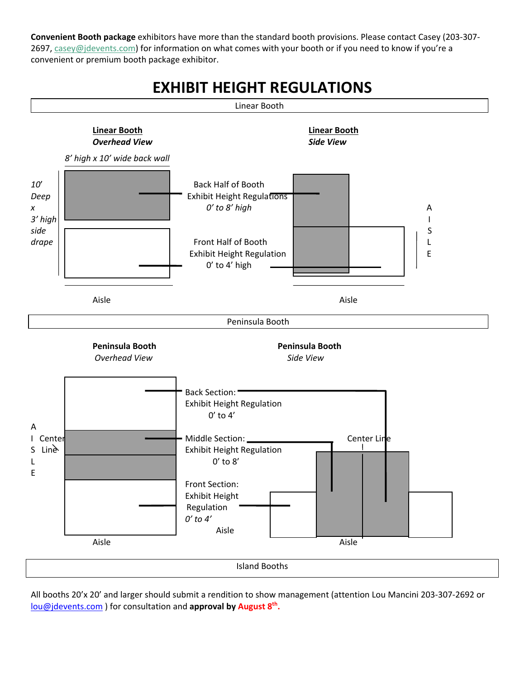**Convenient Booth package** exhibitors have more than the standard booth provisions. Please contact Casey (203‐307‐ 2697, casey@jdevents.com) for information on what comes with your booth or if you need to know if you're a convenient or premium booth package exhibitor.



All booths 20'x 20' and larger should submit a rendition to show management (attention Lou Mancini 203‐307‐2692 or lou@jdevents.com ) for consultation and **approval by August 8th.**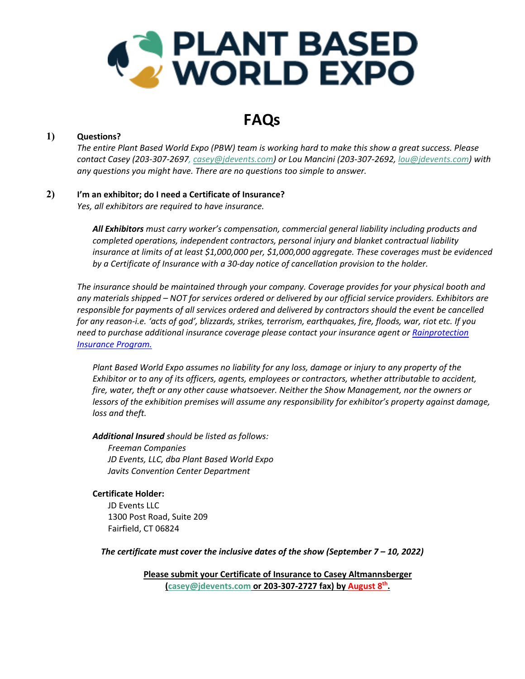

# **FAQs**

# **1) Questions?**

The entire Plant Based World Expo (PBW) team is working hard to make this show a great success. Please contact Casey (203-307-2697, casey@jdevents.com) or Lou Mancini (203-307-2692, lou@jdevents.com) with *any questions you might have. There are no questions too simple to answer.*

# **2) I'm an exhibitor; do I need a Certificate of Insurance?**

*Yes, all exhibitors are required to have insurance.*

*All Exhibitors must carry worker's compensation, commercial general liability including products and completed operations, independent contractors, personal injury and blanket contractual liability insurance at limits of at least \$1,000,000 per, \$1,000,000 aggregate. These coverages must be evidenced by a Certificate of Insurance with a 30‐day notice of cancellation provision to the holder.*

*The insurance should be maintained through your company. Coverage provides for your physical booth and* any materials shipped – NOT for services ordered or delivered by our official service providers. Exhibitors are *responsible for payments of all services ordered and delivered by contractors should the event be cancelled* for any reason-i.e. 'acts of god', blizzards, strikes, terrorism, earthquakes, fire, floods, war, riot etc. If you *need to purchase additional insurance coverage please contact your insurance agent or Rainprotection Insurance Program.*

*Plant Based World Expo assumes no liability for any loss, damage or injury to any property of the Exhibitor or to any of its officers, agents, employees or contractors, whether attributable to accident, fire, water, theft or any other cause whatsoever. Neither the Show Management, nor the owners or lessors of the exhibition premises will assume any responsibility for exhibitor's property against damage, loss and theft.* 

*Additional Insured should be listed as follows:*

*Freeman Companies JD Events, LLC, dba Plant Based World Expo Javits Convention Center Department*

**Certificate Holder:** JD Events LLC 1300 Post Road, Suite 209 Fairfield, CT 06824

*The certificate must cover the inclusive dates of the show (September 7 – 10, 2022)*

**Please submit your Certificate of Insurance to Casey Altmannsberger (casey@jdevents.com or 203‐307‐2727 fax) by August 8th.**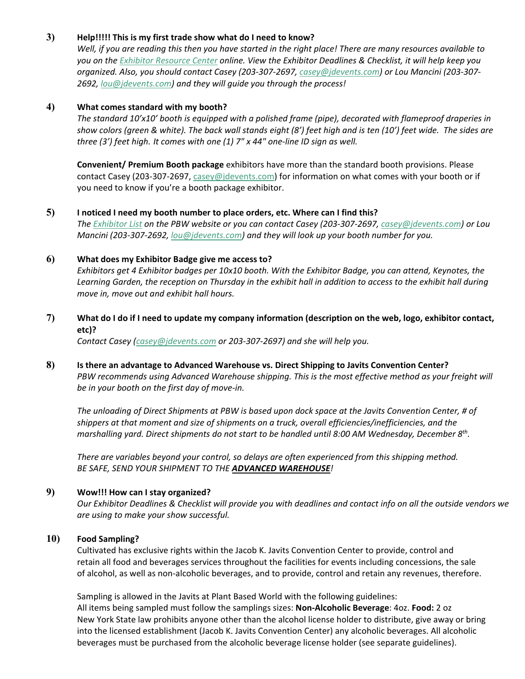# **3) Help!!!!! This is my first trade show what do I need to know?**

Well, if you are reading this then you have started in the right place! There are many resources available to you on the Exhibitor Resource Center online. View the Exhibitor Deadlines & Checklist, it will help keep you organized. Also, you should contact Casey (203-307-2697, casey@jdevents.com) or Lou Mancini (203-307-*2692, lou@jdevents.com) and they will guide you through the process!* 

### **4) What comes standard with my booth?**

*The standard 10'x10' booth is equipped with a polished frame (pipe), decorated with flameproof draperies in* show colors (green & white). The back wall stands eight (8') feet high and is ten (10') feet wide. The sides are *three (3') feet high. It comes with one (1) 7" x 44" one‐line ID sign as well.*

**Convenient/ Premium Booth package** exhibitors have more than the standard booth provisions. Please contact Casey (203-307-2697, casey@jdevents.com) for information on what comes with your booth or if you need to know if you're a booth package exhibitor.

### **5) I noticed I need my booth number to place orders, etc. Where can I find this?**

The Exhibitor List on the PBW website or you can contact Casey (203-307-2697, casey@jdevents.com) or Lou *Mancini (203‐307‐2692, lou@jdevents.com) and they will look up your booth number for you.* 

#### **6) What does my Exhibitor Badge give me access to?**

Exhibitors get 4 Exhibitor badges per 10x10 booth. With the Exhibitor Badge, you can attend, Keynotes, the Learning Garden, the reception on Thursday in the exhibit hall in addition to access to the exhibit hall during *move in, move out and exhibit hall hours.*

# 7) What do I do if I need to update my company information (description on the web, logo, exhibitor contact, **etc)?**

*Contact Casey (casey@jdevents.com or 203‐307‐2697) and she will help you.*

**8) Is there an advantage to Advanced Warehouse vs. Direct Shipping to Javits Convention Center?** *PBW recommends using Advanced Warehouse shipping. This is the most effective method as your freight will be in your booth on the first day of move‐in.*

The unloading of Direct Shipments at PBW is based upon dock space at the Javits Convention Center, # of *shippers at that moment and size of shipments on a truck, overall efficiencies/inefficiencies, and the marshalling yard. Direct shipments do not start to be handled until 8:00 AM Wednesday, December 8th.*

*There are variables beyond your control, so delays are often experienced from this shipping method. BE SAFE, SEND YOUR SHIPMENT TO THE ADVANCED WAREHOUSE!*

# **9) Wow!!! How can I stay organized?**

Our Exhibitor Deadlines & Checklist will provide you with deadlines and contact info on all the outside vendors we *are using to make your show successful.*

# **10) Food Sampling?**

Cultivated has exclusive rights within the Jacob K. Javits Convention Center to provide, control and retain all food and beverages services throughout the facilities for events including concessions, the sale of alcohol, as well as non‐alcoholic beverages, and to provide, control and retain any revenues, therefore.

Sampling is allowed in the Javits at Plant Based World with the following guidelines: All items being sampled must follow the samplings sizes: **Non‐Alcoholic Beverage**: 4oz. **Food:** 2 oz New York State law prohibits anyone other than the alcohol license holder to distribute, give away or bring into the licensed establishment (Jacob K. Javits Convention Center) any alcoholic beverages. All alcoholic beverages must be purchased from the alcoholic beverage license holder (see separate guidelines).